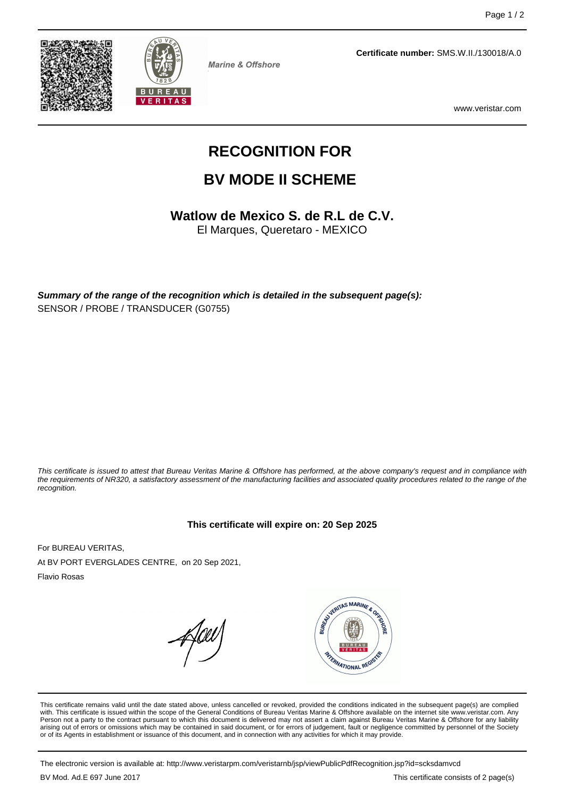



**Marine & Offshore** 

**Certificate number:** SMS.W.II./130018/A.0

www.veristar.com

# **RECOGNITION FOR**

## **BV MODE II SCHEME**

**Watlow de Mexico S. de R.L de C.V.**

El Marques, Queretaro - MEXICO

**Summary of the range of the recognition which is detailed in the subsequent page(s):** SENSOR / PROBE / TRANSDUCER (G0755)

This certificate is issued to attest that Bureau Veritas Marine & Offshore has performed, at the above company's request and in compliance with the requirements of NR320, a satisfactory assessment of the manufacturing facilities and associated quality procedures related to the range of the recognition.

#### **This certificate will expire on: 20 Sep 2025**

For BUREAU VERITAS, At BV PORT EVERGLADES CENTRE, on 20 Sep 2021,

Flavio Rosas



This certificate remains valid until the date stated above, unless cancelled or revoked, provided the conditions indicated in the subsequent page(s) are complied with. This certificate is issued within the scope of the General Conditions of Bureau Veritas Marine & Offshore available on the internet site www.veristar.com. Any Person not a party to the contract pursuant to which this document is delivered may not assert a claim against Bureau Veritas Marine & Offshore for any liability arising out of errors or omissions which may be contained in said document, or for errors of judgement, fault or negligence committed by personnel of the Society<br>or of its Agents in establishment or issuance of this docume